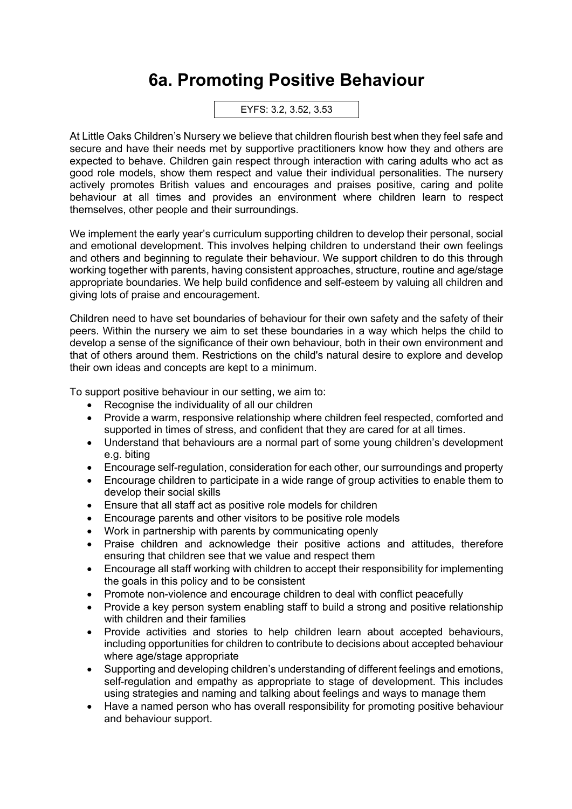## **6a. Promoting Positive Behaviour**

EYFS: 3.2, 3.52, 3.53

At Little Oaks Children's Nursery we believe that children flourish best when they feel safe and secure and have their needs met by supportive practitioners know how they and others are expected to behave. Children gain respect through interaction with caring adults who act as good role models, show them respect and value their individual personalities. The nursery actively promotes British values and encourages and praises positive, caring and polite behaviour at all times and provides an environment where children learn to respect themselves, other people and their surroundings.

We implement the early year's curriculum supporting children to develop their personal, social and emotional development. This involves helping children to understand their own feelings and others and beginning to regulate their behaviour. We support children to do this through working together with parents, having consistent approaches, structure, routine and age/stage appropriate boundaries. We help build confidence and self-esteem by valuing all children and giving lots of praise and encouragement.

Children need to have set boundaries of behaviour for their own safety and the safety of their peers. Within the nursery we aim to set these boundaries in a way which helps the child to develop a sense of the significance of their own behaviour, both in their own environment and that of others around them. Restrictions on the child's natural desire to explore and develop their own ideas and concepts are kept to a minimum.

To support positive behaviour in our setting, we aim to:

- Recognise the individuality of all our children
- Provide a warm, responsive relationship where children feel respected, comforted and supported in times of stress, and confident that they are cared for at all times.
- Understand that behaviours are a normal part of some young children's development e.g. biting
- Encourage self-regulation, consideration for each other, our surroundings and property
- Encourage children to participate in a wide range of group activities to enable them to develop their social skills
- Ensure that all staff act as positive role models for children
- Encourage parents and other visitors to be positive role models
- Work in partnership with parents by communicating openly
- Praise children and acknowledge their positive actions and attitudes, therefore ensuring that children see that we value and respect them
- Encourage all staff working with children to accept their responsibility for implementing the goals in this policy and to be consistent
- Promote non-violence and encourage children to deal with conflict peacefully
- Provide a key person system enabling staff to build a strong and positive relationship with children and their families
- Provide activities and stories to help children learn about accepted behaviours, including opportunities for children to contribute to decisions about accepted behaviour where age/stage appropriate
- Supporting and developing children's understanding of different feelings and emotions, self-regulation and empathy as appropriate to stage of development. This includes using strategies and naming and talking about feelings and ways to manage them
- Have a named person who has overall responsibility for promoting positive behaviour and behaviour support.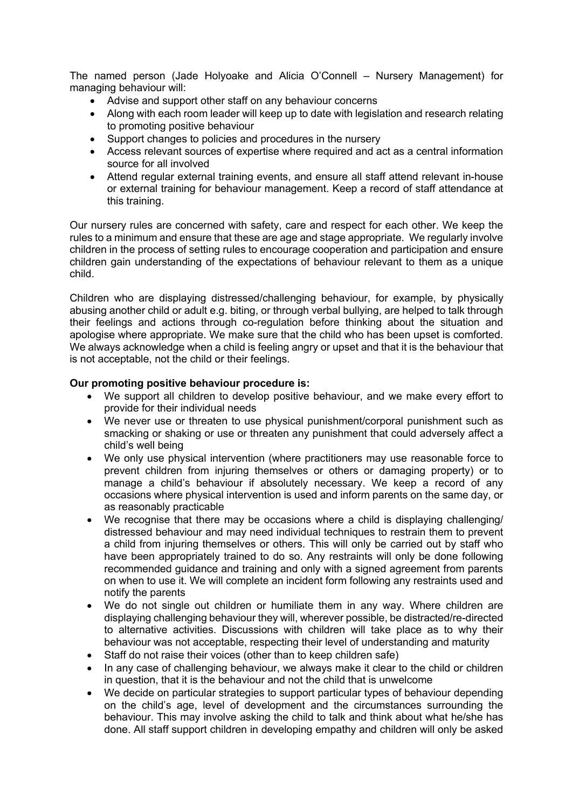The named person (Jade Holyoake and Alicia O'Connell – Nursery Management) for managing behaviour will:

- Advise and support other staff on any behaviour concerns
- Along with each room leader will keep up to date with legislation and research relating to promoting positive behaviour
- Support changes to policies and procedures in the nursery
- Access relevant sources of expertise where required and act as a central information source for all involved
- Attend regular external training events, and ensure all staff attend relevant in-house or external training for behaviour management. Keep a record of staff attendance at this training.

Our nursery rules are concerned with safety, care and respect for each other. We keep the rules to a minimum and ensure that these are age and stage appropriate. We regularly involve children in the process of setting rules to encourage cooperation and participation and ensure children gain understanding of the expectations of behaviour relevant to them as a unique child.

Children who are displaying distressed/challenging behaviour, for example, by physically abusing another child or adult e.g. biting, or through verbal bullying, are helped to talk through their feelings and actions through co-regulation before thinking about the situation and apologise where appropriate. We make sure that the child who has been upset is comforted. We always acknowledge when a child is feeling angry or upset and that it is the behaviour that is not acceptable, not the child or their feelings.

## **Our promoting positive behaviour procedure is:**

- We support all children to develop positive behaviour, and we make every effort to provide for their individual needs
- We never use or threaten to use physical punishment/corporal punishment such as smacking or shaking or use or threaten any punishment that could adversely affect a child's well being
- We only use physical intervention (where practitioners may use reasonable force to prevent children from injuring themselves or others or damaging property) or to manage a child's behaviour if absolutely necessary. We keep a record of any occasions where physical intervention is used and inform parents on the same day, or as reasonably practicable
- We recognise that there may be occasions where a child is displaying challenging/ distressed behaviour and may need individual techniques to restrain them to prevent a child from injuring themselves or others. This will only be carried out by staff who have been appropriately trained to do so. Any restraints will only be done following recommended guidance and training and only with a signed agreement from parents on when to use it. We will complete an incident form following any restraints used and notify the parents
- We do not single out children or humiliate them in any way. Where children are displaying challenging behaviour they will, wherever possible, be distracted/re-directed to alternative activities. Discussions with children will take place as to why their behaviour was not acceptable, respecting their level of understanding and maturity
- Staff do not raise their voices (other than to keep children safe)
- In any case of challenging behaviour, we always make it clear to the child or children in question, that it is the behaviour and not the child that is unwelcome
- We decide on particular strategies to support particular types of behaviour depending on the child's age, level of development and the circumstances surrounding the behaviour. This may involve asking the child to talk and think about what he/she has done. All staff support children in developing empathy and children will only be asked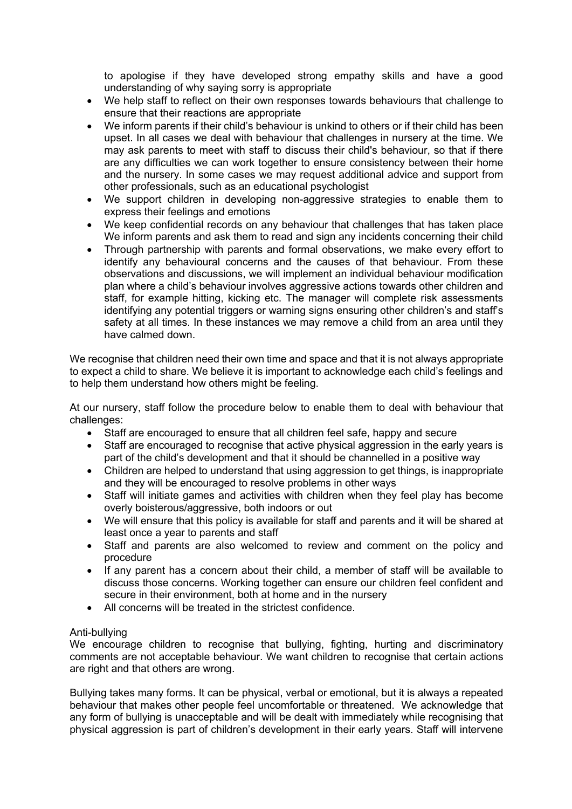to apologise if they have developed strong empathy skills and have a good understanding of why saying sorry is appropriate

- We help staff to reflect on their own responses towards behaviours that challenge to ensure that their reactions are appropriate
- We inform parents if their child's behaviour is unkind to others or if their child has been upset. In all cases we deal with behaviour that challenges in nursery at the time. We may ask parents to meet with staff to discuss their child's behaviour, so that if there are any difficulties we can work together to ensure consistency between their home and the nursery. In some cases we may request additional advice and support from other professionals, such as an educational psychologist
- We support children in developing non-aggressive strategies to enable them to express their feelings and emotions
- We keep confidential records on any behaviour that challenges that has taken place We inform parents and ask them to read and sign any incidents concerning their child
- Through partnership with parents and formal observations, we make every effort to identify any behavioural concerns and the causes of that behaviour. From these observations and discussions, we will implement an individual behaviour modification plan where a child's behaviour involves aggressive actions towards other children and staff, for example hitting, kicking etc. The manager will complete risk assessments identifying any potential triggers or warning signs ensuring other children's and staff's safety at all times. In these instances we may remove a child from an area until they have calmed down.

We recognise that children need their own time and space and that it is not always appropriate to expect a child to share. We believe it is important to acknowledge each child's feelings and to help them understand how others might be feeling.

At our nursery, staff follow the procedure below to enable them to deal with behaviour that challenges:

- Staff are encouraged to ensure that all children feel safe, happy and secure
- Staff are encouraged to recognise that active physical aggression in the early years is part of the child's development and that it should be channelled in a positive way
- Children are helped to understand that using aggression to get things, is inappropriate and they will be encouraged to resolve problems in other ways
- Staff will initiate games and activities with children when they feel play has become overly boisterous/aggressive, both indoors or out
- We will ensure that this policy is available for staff and parents and it will be shared at least once a year to parents and staff
- Staff and parents are also welcomed to review and comment on the policy and procedure
- If any parent has a concern about their child, a member of staff will be available to discuss those concerns. Working together can ensure our children feel confident and secure in their environment, both at home and in the nursery
- All concerns will be treated in the strictest confidence.

## Anti-bullying

We encourage children to recognise that bullying, fighting, hurting and discriminatory comments are not acceptable behaviour. We want children to recognise that certain actions are right and that others are wrong.

Bullying takes many forms. It can be physical, verbal or emotional, but it is always a repeated behaviour that makes other people feel uncomfortable or threatened. We acknowledge that any form of bullying is unacceptable and will be dealt with immediately while recognising that physical aggression is part of children's development in their early years. Staff will intervene